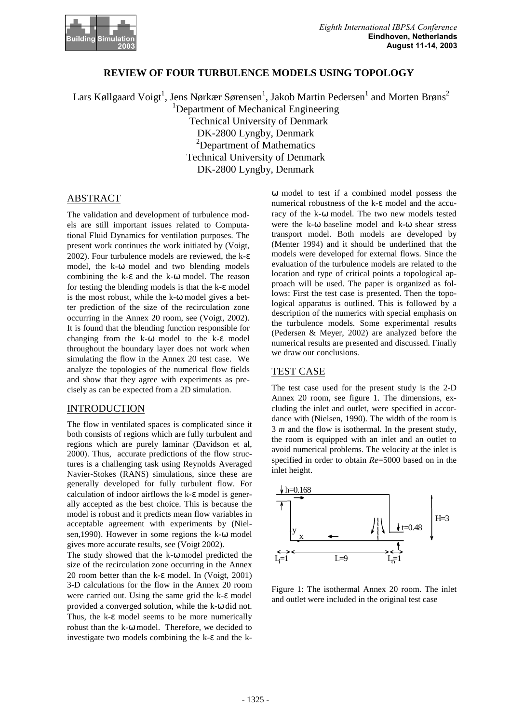

# **REVIEW OF FOUR TURBULENCE MODELS USING TOPOLOGY**

Lars Køllgaard Voigt<sup>1</sup>, Jens Nørkær Sørensen<sup>1</sup>, Jakob Martin Pedersen<sup>1</sup> and Morten Brøns<sup>2</sup> <sup>1</sup>Department of Mechanical Engineering Technical University of Denmark DK-2800 Lyngby, Denmark <sup>2</sup>Department of Mathematics Technical University of Denmark DK-2800 Lyngby, Denmark

## ABSTRACT

The validation and development of turbulence models are still important issues related to Computational Fluid Dynamics for ventilation purposes. The present work continues the work initiated by (Voigt, 2002). Four turbulence models are reviewed, the k-ε model, the k-ω model and two blending models combining the k-ε and the k-ω model. The reason for testing the blending models is that the k-ε model is the most robust, while the k-ω model gives a better prediction of the size of the recirculation zone occurring in the Annex 20 room, see (Voigt, 2002). It is found that the blending function responsible for changing from the k-ω model to the k-ε model throughout the boundary layer does not work when simulating the flow in the Annex 20 test case. We analyze the topologies of the numerical flow fields and show that they agree with experiments as precisely as can be expected from a 2D simulation.

#### INTRODUCTION

The flow in ventilated spaces is complicated since it both consists of regions which are fully turbulent and regions which are purely laminar (Davidson et al, 2000). Thus, accurate predictions of the flow structures is a challenging task using Reynolds Averaged Navier-Stokes (RANS) simulations, since these are generally developed for fully turbulent flow. For calculation of indoor airflows the k-ε model is generally accepted as the best choice. This is because the model is robust and it predicts mean flow variables in acceptable agreement with experiments by (Nielsen,1990). However in some regions the k-ω model gives more accurate results, see (Voigt 2002).

The study showed that the k-ω model predicted the size of the recirculation zone occurring in the Annex 20 room better than the k-ε model. In (Voigt, 2001) 3-D calculations for the flow in the Annex 20 room were carried out. Using the same grid the k-ε model provided a converged solution, while the k-ω did not. Thus, the k-ε model seems to be more numerically robust than the k-ω model. Therefore, we decided to investigate two models combining the k-ε and the kω model to test if a combined model possess the numerical robustness of the k-ε model and the accuracy of the k-ω model. The two new models tested were the k-ω baseline model and k-ω shear stress transport model. Both models are developed by (Menter 1994) and it should be underlined that the models were developed for external flows. Since the evaluation of the turbulence models are related to the location and type of critical points a topological approach will be used. The paper is organized as follows: First the test case is presented. Then the topological apparatus is outlined. This is followed by a description of the numerics with special emphasis on the turbulence models. Some experimental results (Pedersen & Meyer, 2002) are analyzed before the numerical results are presented and discussed. Finally we draw our conclusions.

#### TEST CASE

The test case used for the present study is the 2-D Annex 20 room, see figure 1. The dimensions, excluding the inlet and outlet, were specified in accordance with (Nielsen, 1990). The width of the room is 3 *m* and the flow is isothermal. In the present study, the room is equipped with an inlet and an outlet to avoid numerical problems. The velocity at the inlet is specified in order to obtain *Re*=5000 based on in the inlet height.



Figure 1: The isothermal Annex 20 room. The inlet and outlet were included in the original test case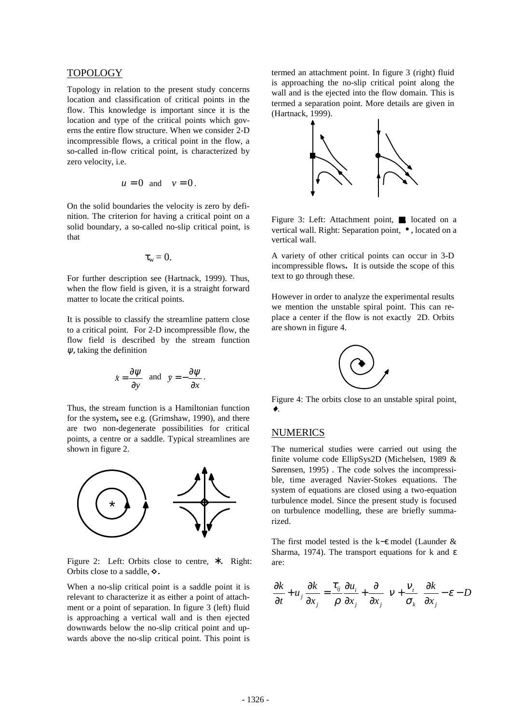## TOPOLOGY

Topology in relation to the present study concerns location and classification of critical points in the flow. This knowledge is important since it is the location and type of the critical points which governs the entire flow structure. When we consider 2-D incompressible flows, a critical point in the flow, a so-called in-flow critical point, is characterized by zero velocity, i.e.

$$
u=0 \text{ and } v=0.
$$

On the solid boundaries the velocity is zero by definition. The criterion for having a critical point on a solid boundary, a so-called no-slip critical point, is that

$$
\tau_{\rm w}=0.
$$

For further description see (Hartnack, 1999). Thus, when the flow field is given, it is a straight forward matter to locate the critical points.

It is possible to classify the streamline pattern close to a critical point. For 2-D incompressible flow, the flow field is described by the stream function  $\psi$ , taking the definition

$$
x = \frac{\partial \psi}{\partial y}
$$
 and  $y = -\frac{\partial \psi}{\partial x}$ .

Thus, the stream function is a Hamiltonian function for the system**,** see e.g. (Grimshaw, 1990), and there are two non-degenerate possibilities for critical points, a centre or a saddle. Typical streamlines are shown in figure 2.



Figure 2: Left: Orbits close to centre,  $*$ . Right: Orbits close to a saddle,  $\diamond$ 

When a no-slip critical point is a saddle point it is relevant to characterize it as either a point of attachment or a point of separation. In figure 3 (left) fluid is approaching a vertical wall and is then ejected downwards below the no-slip critical point and upwards above the no-slip critical point. This point is termed an attachment point. In figure 3 (right) fluid is approaching the no-slip critical point along the wall and is the ejected into the flow domain. This is termed a separation point. More details are given in (Hartnack, 1999).



Figure 3: Left: Attachment point, ■ located on a vertical wall. Right: Separation point, • , located on a vertical wall.

A variety of other critical points can occur in 3-D incompressible flows**.** It is outside the scope of this text to go through these.

However in order to analyze the experimental results we mention the unstable spiral point. This can replace a center if the flow is not exactly 2D. Orbits are shown in figure 4.



Figure 4: The orbits close to an unstable spiral point, ♦.

#### NUMERICS

The numerical studies were carried out using the finite volume code EllipSys2D (Michelsen, 1989 & Sørensen, 1995) . The code solves the incompressible, time averaged Navier-Stokes equations. The system of equations are closed using a two-equation turbulence model. Since the present study is focused on turbulence modelling, these are briefly summarized.

The first model tested is the k−ε model (Launder & Sharma, 1974). The transport equations for k and  $ε$ are:

$$
\frac{\partial k}{\partial t} + u_j \frac{\partial k}{\partial x_j} = \frac{\tau_{ij}}{\rho} \frac{\partial u_i}{\partial x_j} + \frac{\partial}{\partial x_j} \left( v + \frac{v_i}{\sigma_k} \right) \frac{\partial k}{\partial x_j} - \varepsilon - D
$$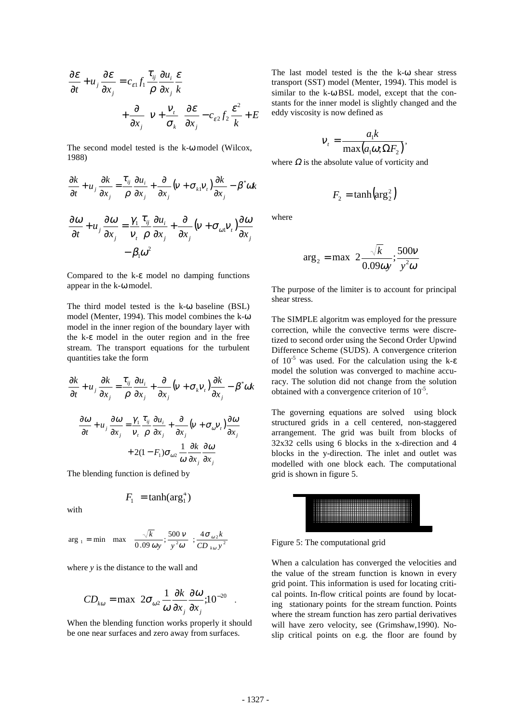$$
\frac{\partial \varepsilon}{\partial t} + u_j \frac{\partial \varepsilon}{\partial x_j} = c_{\varepsilon 1} f_1 \frac{\tau_{ij}}{\rho} \frac{\partial u_i}{\partial x_j} \frac{\varepsilon}{k} \n+ \frac{\partial}{\partial x_j} \left( v + \frac{v_t}{\sigma_k} \right) \frac{\partial \varepsilon}{\partial x_j} - c_{\varepsilon 2} f_2 \frac{\varepsilon^2}{k} + E
$$

The second model tested is the k-ω model (Wilcox, 1988)

$$
\frac{\partial k}{\partial t} + u_j \frac{\partial k}{\partial x_j} = \frac{\tau_{ij}}{\rho} \frac{\partial u_i}{\partial x_j} + \frac{\partial}{\partial x_j} (v + \sigma_{kl} v_i) \frac{\partial k}{\partial x_j} - \beta^* \omega k
$$

$$
\frac{\partial \omega}{\partial t} + u_j \frac{\partial \omega}{\partial x_j} = \frac{\gamma_1}{v_i} \frac{\tau_{ij}}{\rho} \frac{\partial u_i}{\partial x_j} + \frac{\partial}{\partial x_j} (v + \sigma_{\omega 1} v_i) \frac{\partial \omega}{\partial x_j} - \beta_1 \omega^2
$$

Compared to the k-ε model no damping functions appear in the k-ω model.

The third model tested is the k-ω baseline (BSL) model (Menter, 1994). This model combines the k-ω model in the inner region of the boundary layer with the k-ε model in the outer region and in the free stream. The transport equations for the turbulent quantities take the form

$$
\frac{\partial k}{\partial t} + u_j \frac{\partial k}{\partial x_j} = \frac{\tau_{ij}}{\rho} \frac{\partial u_i}{\partial x_j} + \frac{\partial}{\partial x_j} \left( v + \sigma_k v_i \right) \frac{\partial k}{\partial x_j} - \beta^* \omega k
$$

$$
\frac{\partial \omega}{\partial t} + u_j \frac{\partial \omega}{\partial x_j} = \frac{\gamma_1}{\nu_i} \frac{\tau_{ij}}{\rho} \frac{\partial u_i}{\partial x_j} + \frac{\partial}{\partial x_j} \left( v + \sigma_{\omega} v_i \right) \frac{\partial \omega}{\partial x_j}
$$

$$
+ 2(1 - F_1) \sigma_{\omega 2} \frac{1}{\omega} \frac{\partial k}{\partial x_j} \frac{\partial \omega}{\partial x_j}
$$

The blending function is defined by

$$
F_1 = \tanh(\arg_1^4)
$$

with

$$
\arg_{1} = \min \left[ \max \left( \frac{\sqrt{k}}{0.09 \omega y}; \frac{500 \text{ v}}{y^{2} \omega} \right); \frac{4 \sigma_{\omega 2} k}{CD_{k \omega} y^{2}} \right]
$$

where *y* is the distance to the wall and

$$
CD_{k\omega} = \max \left( 2\sigma_{\omega 2} \frac{1}{\omega} \frac{\partial k}{\partial x_j} \frac{\partial \omega}{\partial x_j}; 10^{-20} \right).
$$

When the blending function works properly it should be one near surfaces and zero away from surfaces.

The last model tested is the the k-ω shear stress transport (SST) model (Menter, 1994). This model is similar to the k-ω BSL model, except that the constants for the inner model is slightly changed and the eddy viscosity is now defined as

$$
v_t = \frac{a_1 k}{\max(a_1 \omega; \Omega F_2)},
$$

where  $\Omega$  is the absolute value of vorticity and

$$
F_2 = \tanh\left(\arg_2^2\right)
$$

where

$$
\arg_2 = \max\left(2\frac{\sqrt{k}}{0.09\omega y}; \frac{500\nu}{y^2\omega}\right)
$$

The purpose of the limiter is to account for principal shear stress.

The SIMPLE algoritm was employed for the pressure correction, while the convective terms were discretized to second order using the Second Order Upwind Difference Scheme (SUDS). A convergence criterion of  $10^{-5}$  was used. For the calculation using the k- $\varepsilon$ model the solution was converged to machine accuracy. The solution did not change from the solution obtained with a convergence criterion of  $10^{-5}$ .

The governing equations are solved using block structured grids in a cell centered, non-staggered arrangement. The grid was built from blocks of 32x32 cells using 6 blocks in the x-direction and 4 blocks in the y-direction. The inlet and outlet was modelled with one block each. The computational grid is shown in figure 5.



Figure 5: The computational grid

When a calculation has converged the velocities and the value of the stream function is known in every grid point. This information is used for locating critical points. In-flow critical points are found by locating stationary points for the stream function. Points where the stream function has zero partial derivatives will have zero velocity, see (Grimshaw,1990). Noslip critical points on e.g. the floor are found by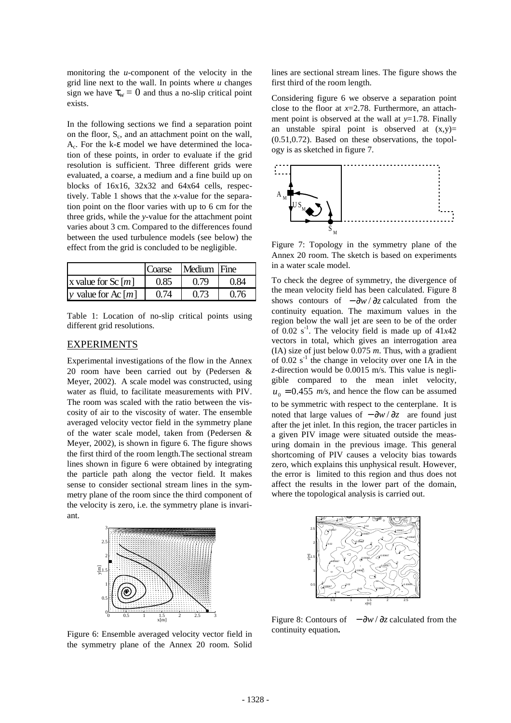monitoring the *u*-component of the velocity in the grid line next to the wall. In points where *u* changes sign we have  $\tau_w = 0$  and thus a no-slip critical point exists.

In the following sections we find a separation point on the floor, S<sub>c</sub>, and an attachment point on the wall,  $A_c$ . For the k- $\varepsilon$  model we have determined the location of these points, in order to evaluate if the grid resolution is sufficient. Three different grids were evaluated, a coarse, a medium and a fine build up on blocks of 16x16, 32x32 and 64x64 cells, respectively. Table 1 shows that the *x*-value for the separation point on the floor varies with up to 6 cm for the three grids, while the *y*-value for the attachment point varies about 3 cm. Compared to the differences found between the used turbulence models (see below) the effect from the grid is concluded to be negligible.

|                      | Coarse | Medium Fine |      |
|----------------------|--------|-------------|------|
| x value for Sc $[m]$ | 0.85   | 0.79        | 0.84 |
| v value for Ac $[m]$ | 0.74   | 0.73        | 0.76 |

Table 1: Location of no-slip critical points using different grid resolutions.

#### EXPERIMENTS

Experimental investigations of the flow in the Annex 20 room have been carried out by (Pedersen & Meyer, 2002). A scale model was constructed, using water as fluid, to facilitate measurements with PIV. The room was scaled with the ratio between the viscosity of air to the viscosity of water. The ensemble averaged velocity vector field in the symmetry plane of the water scale model, taken from (Pedersen & Meyer, 2002), is shown in figure 6. The figure shows the first third of the room length.The sectional stream lines shown in figure 6 were obtained by integrating the particle path along the vector field. It makes sense to consider sectional stream lines in the symmetry plane of the room since the third component of the velocity is zero, i.e. the symmetry plane is invariant.



Figure 6: Ensemble averaged velocity vector field in the symmetry plane of the Annex 20 room. Solid

lines are sectional stream lines. The figure shows the first third of the room length.

Considering figure 6 we observe a separation point close to the floor at *x*=2.78. Furthermore, an attachment point is observed at the wall at *y*=1.78. Finally an unstable spiral point is observed at  $(x,y)$ = (0.51,0.72). Based on these observations, the topology is as sketched in figure 7.



Figure 7: Topology in the symmetry plane of the Annex 20 room. The sketch is based on experiments in a water scale model.

To check the degree of symmetry, the divergence of the mean velocity field has been calculated. Figure 8 shows contours of  $-\frac{\partial w}{\partial z}$  calculated from the continuity equation. The maximum values in the region below the wall jet are seen to be of the order of  $0.02$  s<sup>-1</sup>. The velocity field is made up of  $41x42$ vectors in total, which gives an interrogation area (IA) size of just below 0.075 *m*. Thus, with a gradient of 0.02  $s<sup>-1</sup>$  the change in velocity over one IA in the *z*-direction would be 0.0015 m/s. This value is negligible compared to the mean inlet velocity,  $u_0 = 0.455$  *m/s*, and hence the flow can be assumed to be symmetric with respect to the centerplane. It is noted that large values of  $-\partial w / \partial z$  are found just after the jet inlet. In this region, the tracer particles in a given PIV image were situated outside the measuring domain in the previous image. This general shortcoming of PIV causes a velocity bias towards zero, which explains this unphysical result. However, the error is limited to this region and thus does not affect the results in the lower part of the domain, where the topological analysis is carried out.



Figure 8: Contours of  $-\frac{\partial w}{\partial z}$  calculated from the continuity equation**.**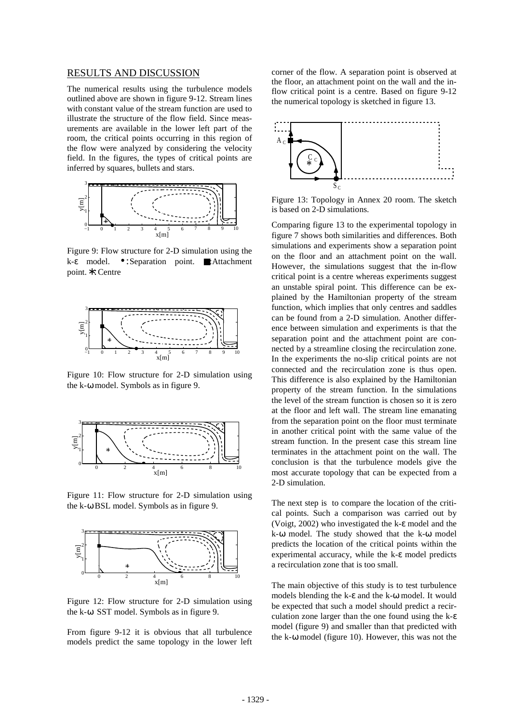#### RESULTS AND DISCUSSION

The numerical results using the turbulence models outlined above are shown in figure 9-12. Stream lines with constant value of the stream function are used to illustrate the structure of the flow field. Since measurements are available in the lower left part of the room, the critical points occurring in this region of the flow were analyzed by considering the velocity field. In the figures, the types of critical points are inferred by squares, bullets and stars.



Figure 9: Flow structure for 2-D simulation using the k-ε model. • :Separation point. ■:Attachment point.∗:Centre



Figure 10: Flow structure for 2-D simulation using the k-ω model. Symbols as in figure 9.



Figure 11: Flow structure for 2-D simulation using the k-ω BSL model. Symbols as in figure 9.



Figure 12: Flow structure for 2-D simulation using the k-ω SST model. Symbols as in figure 9.

From figure 9-12 it is obvious that all turbulence models predict the same topology in the lower left corner of the flow. A separation point is observed at the floor, an attachment point on the wall and the inflow critical point is a centre. Based on figure 9-12 the numerical topology is sketched in figure 13.



Figure 13: Topology in Annex 20 room. The sketch is based on 2-D simulations.

Comparing figure 13 to the experimental topology in figure 7 shows both similarities and differences. Both simulations and experiments show a separation point on the floor and an attachment point on the wall. However, the simulations suggest that the in-flow critical point is a centre whereas experiments suggest an unstable spiral point. This difference can be explained by the Hamiltonian property of the stream function, which implies that only centres and saddles can be found from a 2-D simulation. Another difference between simulation and experiments is that the separation point and the attachment point are connected by a streamline closing the recirculation zone. In the experiments the no-slip critical points are not connected and the recirculation zone is thus open. This difference is also explained by the Hamiltonian property of the stream function. In the simulations the level of the stream function is chosen so it is zero at the floor and left wall. The stream line emanating from the separation point on the floor must terminate in another critical point with the same value of the stream function. In the present case this stream line terminates in the attachment point on the wall. The conclusion is that the turbulence models give the most accurate topology that can be expected from a 2-D simulation.

The next step is to compare the location of the critical points. Such a comparison was carried out by (Voigt, 2002) who investigated the k-ε model and the k-ω model. The study showed that the k-ω model predicts the location of the critical points within the experimental accuracy, while the k-ε model predicts a recirculation zone that is too small.

The main objective of this study is to test turbulence models blending the k-ε and the k-ω model. It would be expected that such a model should predict a recirculation zone larger than the one found using the k-ε model (figure 9) and smaller than that predicted with the k-ω model (figure 10). However, this was not the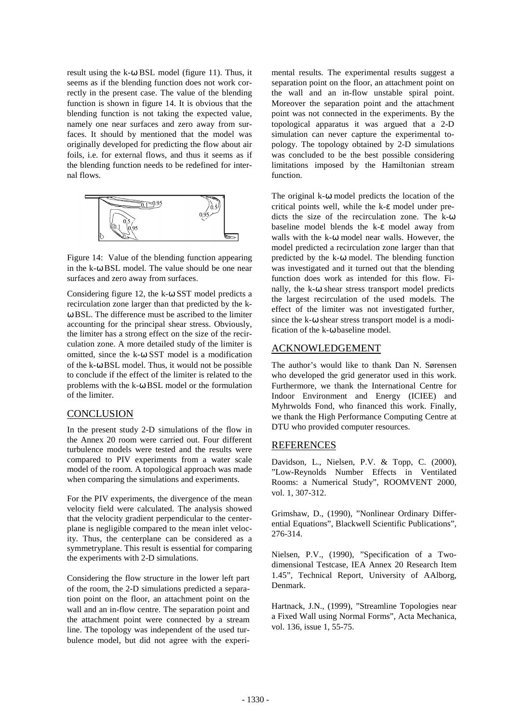result using the k-ω BSL model (figure 11). Thus, it seems as if the blending function does not work correctly in the present case. The value of the blending function is shown in figure 14. It is obvious that the blending function is not taking the expected value, namely one near surfaces and zero away from surfaces. It should by mentioned that the model was originally developed for predicting the flow about air foils, i.e. for external flows, and thus it seems as if the blending function needs to be redefined for internal flows.



Figure 14: Value of the blending function appearing in the k-ω BSL model. The value should be one near surfaces and zero away from surfaces.

Considering figure 12, the k-ω SST model predicts a recirculation zone larger than that predicted by the kω BSL. The difference must be ascribed to the limiter accounting for the principal shear stress. Obviously, the limiter has a strong effect on the size of the recirculation zone. A more detailed study of the limiter is omitted, since the k-ω SST model is a modification of the k-ω BSL model. Thus, it would not be possible to conclude if the effect of the limiter is related to the problems with the k-ω BSL model or the formulation of the limiter.

## **CONCLUSION**

In the present study 2-D simulations of the flow in the Annex 20 room were carried out. Four different turbulence models were tested and the results were compared to PIV experiments from a water scale model of the room. A topological approach was made when comparing the simulations and experiments.

For the PIV experiments, the divergence of the mean velocity field were calculated. The analysis showed that the velocity gradient perpendicular to the centerplane is negligible compared to the mean inlet velocity. Thus, the centerplane can be considered as a symmetryplane. This result is essential for comparing the experiments with 2-D simulations.

Considering the flow structure in the lower left part of the room, the 2-D simulations predicted a separation point on the floor, an attachment point on the wall and an in-flow centre. The separation point and the attachment point were connected by a stream line. The topology was independent of the used turbulence model, but did not agree with the experimental results. The experimental results suggest a separation point on the floor, an attachment point on the wall and an in-flow unstable spiral point. Moreover the separation point and the attachment point was not connected in the experiments. By the topological apparatus it was argued that a 2-D simulation can never capture the experimental topology. The topology obtained by 2-D simulations was concluded to be the best possible considering limitations imposed by the Hamiltonian stream function.

The original k-ω model predicts the location of the critical points well, while the k-ε model under predicts the size of the recirculation zone. The k-ω baseline model blends the k-ε model away from walls with the k-ω model near walls. However, the model predicted a recirculation zone larger than that predicted by the k-ω model. The blending function was investigated and it turned out that the blending function does work as intended for this flow. Finally, the k-ω shear stress transport model predicts the largest recirculation of the used models. The effect of the limiter was not investigated further, since the k-ω shear stress transport model is a modification of the k-ω baseline model.

#### ACKNOWLEDGEMENT

The author's would like to thank Dan N. Sørensen who developed the grid generator used in this work. Furthermore, we thank the International Centre for Indoor Environment and Energy (ICIEE) and Myhrwolds Fond, who financed this work. Finally, we thank the High Performance Computing Centre at DTU who provided computer resources.

## REFERENCES

Davidson, L., Nielsen, P.V. & Topp, C. (2000), "Low-Reynolds Number Effects in Ventilated Rooms: a Numerical Study", ROOMVENT 2000, vol. 1, 307-312.

Grimshaw, D., (1990), "Nonlinear Ordinary Differential Equations", Blackwell Scientific Publications", 276-314.

Nielsen, P.V., (1990), "Specification of a Twodimensional Testcase, IEA Annex 20 Research Item 1.45", Technical Report, University of AAlborg, Denmark.

Hartnack, J.N., (1999), "Streamline Topologies near a Fixed Wall using Normal Forms", Acta Mechanica, vol. 136, issue 1, 55-75.